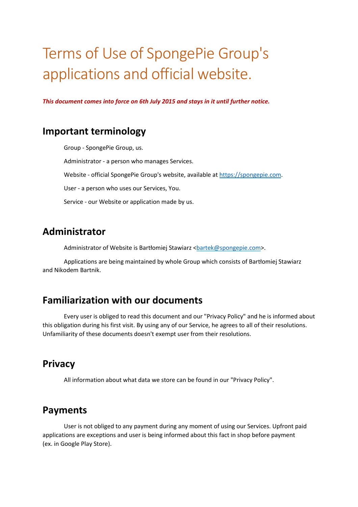# Terms of Use of SpongePie Group's applications and official website.

*This document comes into force on 6th July 2015 and stays in it until further notice.* 

## **Important terminology**

 Group - SpongePie Group, us. Administrator - a person who manages Services. Website - official SpongePie Group's website, available at https://spongepie.com. User - a person who uses our Services, You. Service - our Website or application made by us.

## **Administrator**

Administrator of Website is Bartłomiej Stawiarz <br/>bartek@spongepie.com>.

 Applications are being maintained by whole Group which consists of Bartłomiej Stawiarz and Nikodem Bartnik.

### **Familiarization with our documents**

 Every user is obliged to read this document and our "Privacy Policy" and he is informed about this obligation during his first visit. By using any of our Service, he agrees to all of their resolutions. Unfamiliarity of these documents doesn't exempt user from their resolutions.

### **Privacy**

All information about what data we store can be found in our "Privacy Policy".

### **Payments**

 User is not obliged to any payment during any moment of using our Services. Upfront paid applications are exceptions and user is being informed about this fact in shop before payment (ex. in Google Play Store).